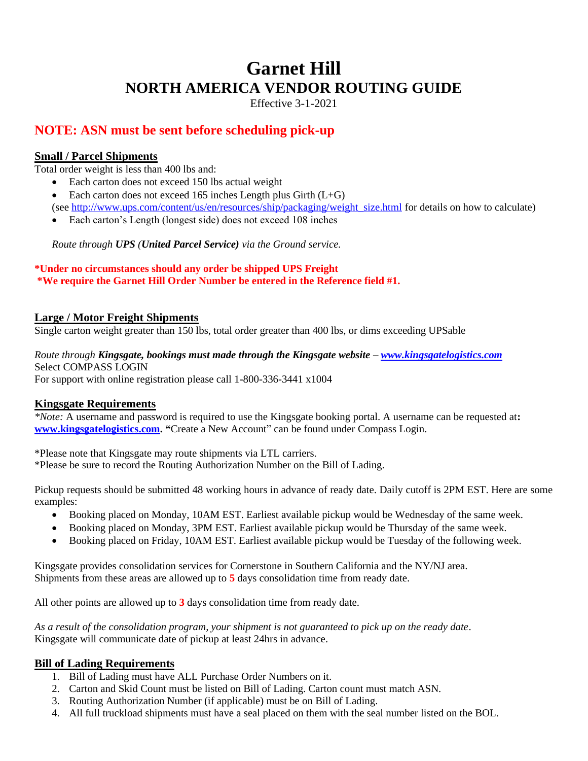# **Garnet Hill NORTH AMERICA VENDOR ROUTING GUIDE**

Effective 3-1-2021

# **NOTE: ASN must be sent before scheduling pick-up**

## **Small / Parcel Shipments**

Total order weight is less than 400 lbs and:

- Each carton does not exceed 150 lbs actual weight
- Each carton does not exceed 165 inches Length plus Girth  $(L+G)$ (see [http://www.ups.com/content/us/en/resources/ship/packaging/weight\\_size.html](http://www.ups.com/content/us/en/resources/ship/packaging/weight_size.html) for details on how to calculate)
- Each carton's Length (longest side) does not exceed 108 inches

*Route through UPS (United Parcel Service) via the Ground service.*

### **\*Under no circumstances should any order be shipped UPS Freight \*We require the Garnet Hill Order Number be entered in the Reference field #1.**

# **Large / Motor Freight Shipments**

Single carton weight greater than 150 lbs, total order greater than 400 lbs, or dims exceeding UPSable

# *Route through Kingsgate, bookings must made through the Kingsgate website – [www.kingsgatelogistics.com](http://www.kingsgatelogistics.com/)* Select COMPASS LOGIN

For support with online registration please call 1-800-336-3441 x1004

### **Kingsgate Requirements**

*\*Note:* A username and password is required to use the Kingsgate booking portal. A username can be requested at**: [www.kingsgatelogistics.com.](http://www.kingsgatelogistics.com/) "**Create a New Account" can be found under Compass Login.

\*Please note that Kingsgate may route shipments via LTL carriers. \*Please be sure to record the Routing Authorization Number on the Bill of Lading.

Pickup requests should be submitted 48 working hours in advance of ready date. Daily cutoff is 2PM EST. Here are some examples:

- Booking placed on Monday, 10AM EST. Earliest available pickup would be Wednesday of the same week.
- Booking placed on Monday, 3PM EST. Earliest available pickup would be Thursday of the same week.
- Booking placed on Friday, 10AM EST. Earliest available pickup would be Tuesday of the following week.

Kingsgate provides consolidation services for Cornerstone in Southern California and the NY/NJ area. Shipments from these areas are allowed up to **5** days consolidation time from ready date.

All other points are allowed up to **3** days consolidation time from ready date.

*As a result of the consolidation program, your shipment is not guaranteed to pick up on the ready date*. Kingsgate will communicate date of pickup at least 24hrs in advance.

### **Bill of Lading Requirements**

- 1. Bill of Lading must have ALL Purchase Order Numbers on it.
- 2. Carton and Skid Count must be listed on Bill of Lading. Carton count must match ASN.
- 3. Routing Authorization Number (if applicable) must be on Bill of Lading.
- 4. All full truckload shipments must have a seal placed on them with the seal number listed on the BOL.